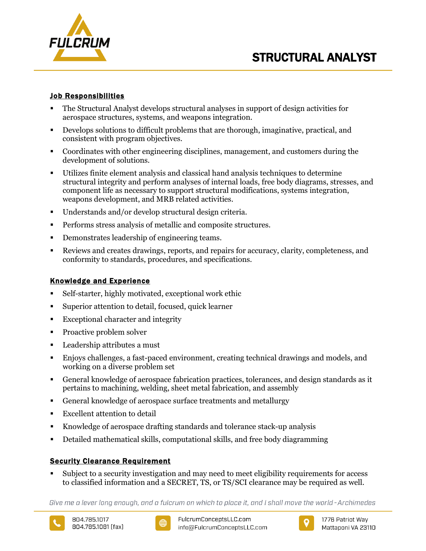

# STRUCTURAL ANALYST

## Job Responsibilities

- The Structural Analyst develops structural analyses in support of design activities for aerospace structures, systems, and weapons integration.
- Develops solutions to difficult problems that are thorough, imaginative, practical, and consistent with program objectives.
- Coordinates with other engineering disciplines, management, and customers during the development of solutions.
- Utilizes finite element analysis and classical hand analysis techniques to determine structural integrity and perform analyses of internal loads, free body diagrams, stresses, and component life as necessary to support structural modifications, systems integration, weapons development, and MRB related activities.
- Understands and/or develop structural design criteria.
- **Performs stress analysis of metallic and composite structures.**
- Demonstrates leadership of engineering teams.
- Reviews and creates drawings, reports, and repairs for accuracy, clarity, completeness, and conformity to standards, procedures, and specifications.

# Knowledge and Experience

- Self-starter, highly motivated, exceptional work ethic
- Superior attention to detail, focused, quick learner
- **Exceptional character and integrity**
- Proactive problem solver
- **Leadership attributes a must**
- Enjoys challenges, a fast-paced environment, creating technical drawings and models, and working on a diverse problem set
- General knowledge of aerospace fabrication practices, tolerances, and design standards as it pertains to machining, welding, sheet metal fabrication, and assembly
- General knowledge of aerospace surface treatments and metallurgy
- Excellent attention to detail
- Knowledge of aerospace drafting standards and tolerance stack-up analysis
- Detailed mathematical skills, computational skills, and free body diagramming

# Security Clearance Requirement

 Subject to a security investigation and may need to meet eligibility requirements for access to classified information and a SECRET, TS, or TS/SCI clearance may be required as well.

Give me a lever long enough, and a fulcrum on which to place it, and I shall move the world - Archimedes